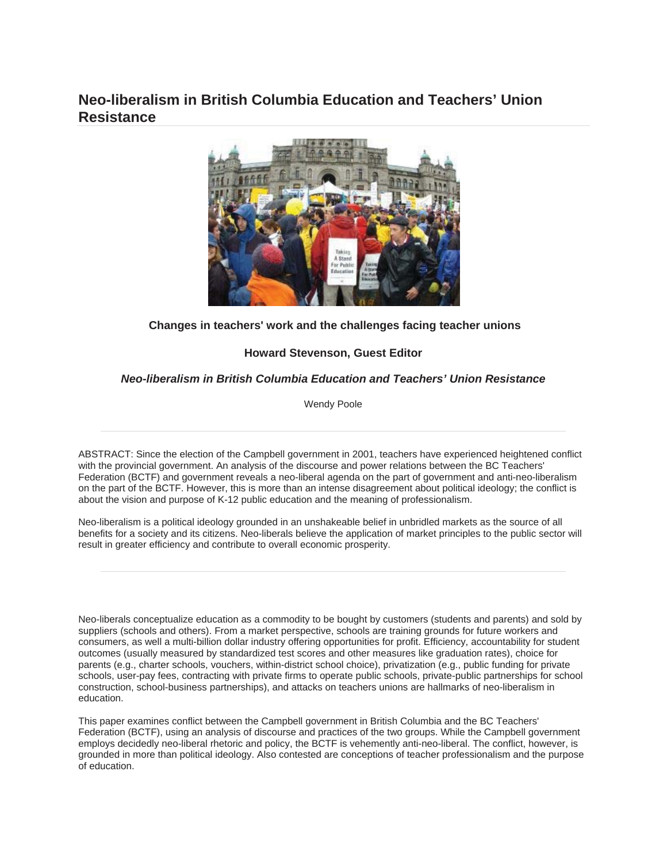# **Neo-liberalism in British Columbia Education and Teachers' Union Resistance**



# **Changes in teachers' work and the challenges facing teacher unions**

# **Howard Stevenson, Guest Editor**

# *Neo-liberalism in British Columbia Education and Teachers' Union Resistance*

Wendy Poole

ABSTRACT: Since the election of the Campbell government in 2001, teachers have experienced heightened conflict with the provincial government. An analysis of the discourse and power relations between the BC Teachers' Federation (BCTF) and government reveals a neo-liberal agenda on the part of government and anti-neo-liberalism on the part of the BCTF. However, this is more than an intense disagreement about political ideology; the conflict is about the vision and purpose of K-12 public education and the meaning of professionalism.

Neo-liberalism is a political ideology grounded in an unshakeable belief in unbridled markets as the source of all benefits for a society and its citizens. Neo-liberals believe the application of market principles to the public sector will result in greater efficiency and contribute to overall economic prosperity.

Neo-liberals conceptualize education as a commodity to be bought by customers (students and parents) and sold by suppliers (schools and others). From a market perspective, schools are training grounds for future workers and consumers, as well a multi-billion dollar industry offering opportunities for profit. Efficiency, accountability for student outcomes (usually measured by standardized test scores and other measures like graduation rates), choice for parents (e.g., charter schools, vouchers, within-district school choice), privatization (e.g., public funding for private schools, user-pay fees, contracting with private firms to operate public schools, private-public partnerships for school construction, school-business partnerships), and attacks on teachers unions are hallmarks of neo-liberalism in education.

This paper examines conflict between the Campbell government in British Columbia and the BC Teachers' Federation (BCTF), using an analysis of discourse and practices of the two groups. While the Campbell government employs decidedly neo-liberal rhetoric and policy, the BCTF is vehemently anti-neo-liberal. The conflict, however, is grounded in more than political ideology. Also contested are conceptions of teacher professionalism and the purpose of education.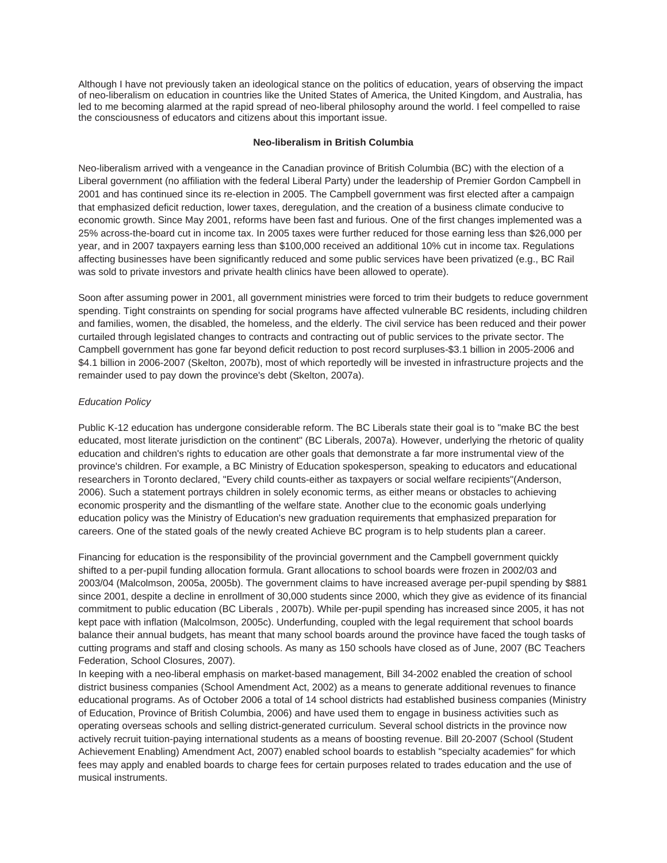Although I have not previously taken an ideological stance on the politics of education, years of observing the impact of neo-liberalism on education in countries like the United States of America, the United Kingdom, and Australia, has led to me becoming alarmed at the rapid spread of neo-liberal philosophy around the world. I feel compelled to raise the consciousness of educators and citizens about this important issue.

#### **Neo-liberalism in British Columbia**

Neo-liberalism arrived with a vengeance in the Canadian province of British Columbia (BC) with the election of a Liberal government (no affiliation with the federal Liberal Party) under the leadership of Premier Gordon Campbell in 2001 and has continued since its re-election in 2005. The Campbell government was first elected after a campaign that emphasized deficit reduction, lower taxes, deregulation, and the creation of a business climate conducive to economic growth. Since May 2001, reforms have been fast and furious. One of the first changes implemented was a 25% across-the-board cut in income tax. In 2005 taxes were further reduced for those earning less than \$26,000 per year, and in 2007 taxpayers earning less than \$100,000 received an additional 10% cut in income tax. Regulations affecting businesses have been significantly reduced and some public services have been privatized (e.g., BC Rail was sold to private investors and private health clinics have been allowed to operate).

Soon after assuming power in 2001, all government ministries were forced to trim their budgets to reduce government spending. Tight constraints on spending for social programs have affected vulnerable BC residents, including children and families, women, the disabled, the homeless, and the elderly. The civil service has been reduced and their power curtailed through legislated changes to contracts and contracting out of public services to the private sector. The Campbell government has gone far beyond deficit reduction to post record surpluses-\$3.1 billion in 2005-2006 and \$4.1 billion in 2006-2007 (Skelton, 2007b), most of which reportedly will be invested in infrastructure projects and the remainder used to pay down the province's debt (Skelton, 2007a).

## *Education Policy*

Public K-12 education has undergone considerable reform. The BC Liberals state their goal is to "make BC the best educated, most literate jurisdiction on the continent" (BC Liberals, 2007a). However, underlying the rhetoric of quality education and children's rights to education are other goals that demonstrate a far more instrumental view of the province's children. For example, a BC Ministry of Education spokesperson, speaking to educators and educational researchers in Toronto declared, "Every child counts-either as taxpayers or social welfare recipients"(Anderson, 2006). Such a statement portrays children in solely economic terms, as either means or obstacles to achieving economic prosperity and the dismantling of the welfare state. Another clue to the economic goals underlying education policy was the Ministry of Education's new graduation requirements that emphasized preparation for careers. One of the stated goals of the newly created Achieve BC program is to help students plan a career.

Financing for education is the responsibility of the provincial government and the Campbell government quickly shifted to a per-pupil funding allocation formula. Grant allocations to school boards were frozen in 2002/03 and 2003/04 (Malcolmson, 2005a, 2005b). The government claims to have increased average per-pupil spending by \$881 since 2001, despite a decline in enrollment of 30,000 students since 2000, which they give as evidence of its financial commitment to public education (BC Liberals , 2007b). While per-pupil spending has increased since 2005, it has not kept pace with inflation (Malcolmson, 2005c). Underfunding, coupled with the legal requirement that school boards balance their annual budgets, has meant that many school boards around the province have faced the tough tasks of cutting programs and staff and closing schools. As many as 150 schools have closed as of June, 2007 (BC Teachers Federation, School Closures, 2007).

In keeping with a neo-liberal emphasis on market-based management, Bill 34-2002 enabled the creation of school district business companies (School Amendment Act, 2002) as a means to generate additional revenues to finance educational programs. As of October 2006 a total of 14 school districts had established business companies (Ministry of Education, Province of British Columbia, 2006) and have used them to engage in business activities such as operating overseas schools and selling district-generated curriculum. Several school districts in the province now actively recruit tuition-paying international students as a means of boosting revenue. Bill 20-2007 (School (Student Achievement Enabling) Amendment Act, 2007) enabled school boards to establish "specialty academies" for which fees may apply and enabled boards to charge fees for certain purposes related to trades education and the use of musical instruments.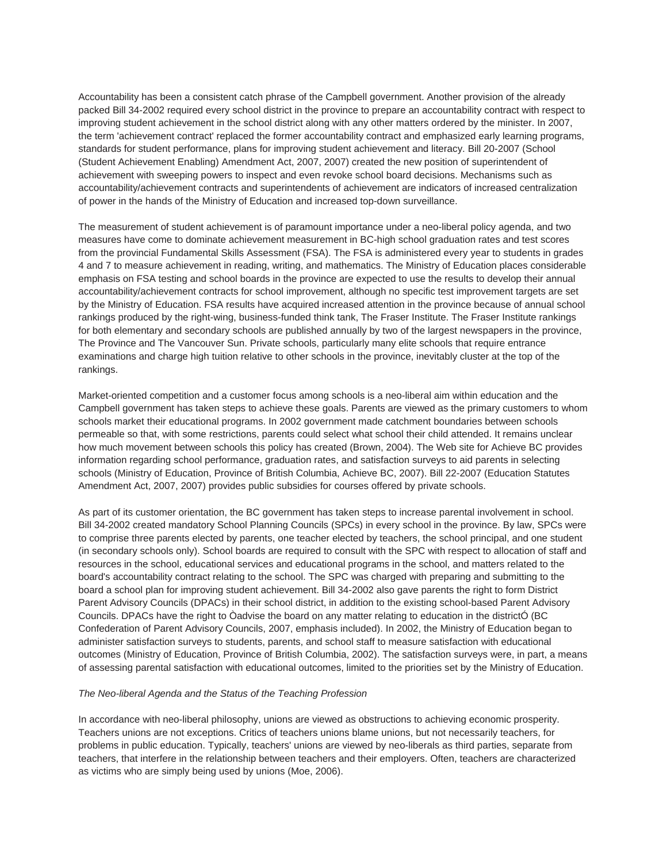Accountability has been a consistent catch phrase of the Campbell government. Another provision of the already packed Bill 34-2002 required every school district in the province to prepare an accountability contract with respect to improving student achievement in the school district along with any other matters ordered by the minister. In 2007, the term 'achievement contract' replaced the former accountability contract and emphasized early learning programs, standards for student performance, plans for improving student achievement and literacy. Bill 20-2007 (School (Student Achievement Enabling) Amendment Act, 2007, 2007) created the new position of superintendent of achievement with sweeping powers to inspect and even revoke school board decisions. Mechanisms such as accountability/achievement contracts and superintendents of achievement are indicators of increased centralization of power in the hands of the Ministry of Education and increased top-down surveillance.

The measurement of student achievement is of paramount importance under a neo-liberal policy agenda, and two measures have come to dominate achievement measurement in BC-high school graduation rates and test scores from the provincial Fundamental Skills Assessment (FSA). The FSA is administered every year to students in grades 4 and 7 to measure achievement in reading, writing, and mathematics. The Ministry of Education places considerable emphasis on FSA testing and school boards in the province are expected to use the results to develop their annual accountability/achievement contracts for school improvement, although no specific test improvement targets are set by the Ministry of Education. FSA results have acquired increased attention in the province because of annual school rankings produced by the right-wing, business-funded think tank, The Fraser Institute. The Fraser Institute rankings for both elementary and secondary schools are published annually by two of the largest newspapers in the province, The Province and The Vancouver Sun. Private schools, particularly many elite schools that require entrance examinations and charge high tuition relative to other schools in the province, inevitably cluster at the top of the rankings.

Market-oriented competition and a customer focus among schools is a neo-liberal aim within education and the Campbell government has taken steps to achieve these goals. Parents are viewed as the primary customers to whom schools market their educational programs. In 2002 government made catchment boundaries between schools permeable so that, with some restrictions, parents could select what school their child attended. It remains unclear how much movement between schools this policy has created (Brown, 2004). The Web site for Achieve BC provides information regarding school performance, graduation rates, and satisfaction surveys to aid parents in selecting schools (Ministry of Education, Province of British Columbia, Achieve BC, 2007). Bill 22-2007 (Education Statutes Amendment Act, 2007, 2007) provides public subsidies for courses offered by private schools.

As part of its customer orientation, the BC government has taken steps to increase parental involvement in school. Bill 34-2002 created mandatory School Planning Councils (SPCs) in every school in the province. By law, SPCs were to comprise three parents elected by parents, one teacher elected by teachers, the school principal, and one student (in secondary schools only). School boards are required to consult with the SPC with respect to allocation of staff and resources in the school, educational services and educational programs in the school, and matters related to the board's accountability contract relating to the school. The SPC was charged with preparing and submitting to the board a school plan for improving student achievement. Bill 34-2002 also gave parents the right to form District Parent Advisory Councils (DPACs) in their school district, in addition to the existing school-based Parent Advisory Councils. DPACs have the right to Òadvise the board on any matter relating to education in the districtÓ (BC Confederation of Parent Advisory Councils, 2007, emphasis included). In 2002, the Ministry of Education began to administer satisfaction surveys to students, parents, and school staff to measure satisfaction with educational outcomes (Ministry of Education, Province of British Columbia, 2002). The satisfaction surveys were, in part, a means of assessing parental satisfaction with educational outcomes, limited to the priorities set by the Ministry of Education.

#### *The Neo-liberal Agenda and the Status of the Teaching Profession*

In accordance with neo-liberal philosophy, unions are viewed as obstructions to achieving economic prosperity. Teachers unions are not exceptions. Critics of teachers unions blame unions, but not necessarily teachers, for problems in public education. Typically, teachers' unions are viewed by neo-liberals as third parties, separate from teachers, that interfere in the relationship between teachers and their employers. Often, teachers are characterized as victims who are simply being used by unions (Moe, 2006).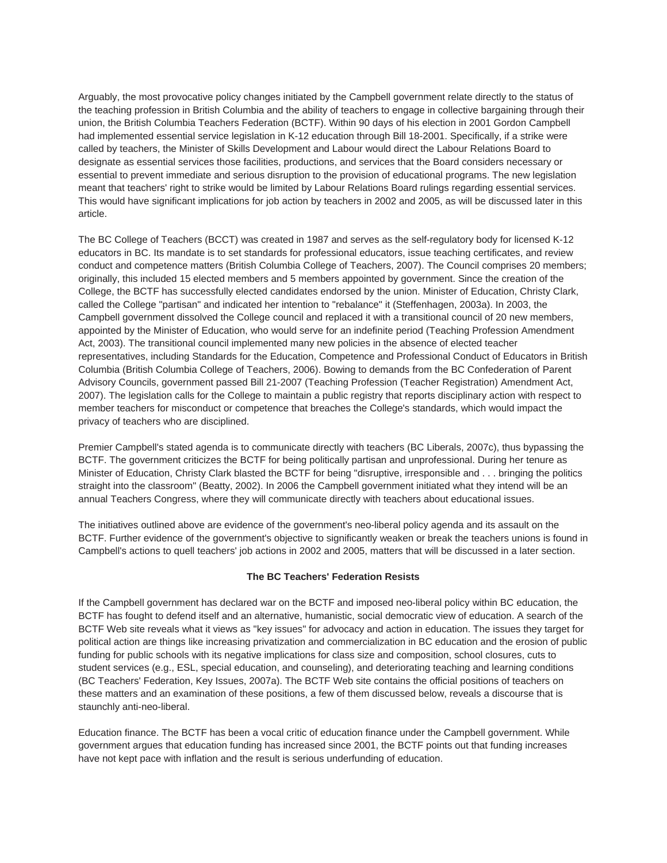Arguably, the most provocative policy changes initiated by the Campbell government relate directly to the status of the teaching profession in British Columbia and the ability of teachers to engage in collective bargaining through their union, the British Columbia Teachers Federation (BCTF). Within 90 days of his election in 2001 Gordon Campbell had implemented essential service legislation in K-12 education through Bill 18-2001. Specifically, if a strike were called by teachers, the Minister of Skills Development and Labour would direct the Labour Relations Board to designate as essential services those facilities, productions, and services that the Board considers necessary or essential to prevent immediate and serious disruption to the provision of educational programs. The new legislation meant that teachers' right to strike would be limited by Labour Relations Board rulings regarding essential services. This would have significant implications for job action by teachers in 2002 and 2005, as will be discussed later in this article.

The BC College of Teachers (BCCT) was created in 1987 and serves as the self-regulatory body for licensed K-12 educators in BC. Its mandate is to set standards for professional educators, issue teaching certificates, and review conduct and competence matters (British Columbia College of Teachers, 2007). The Council comprises 20 members; originally, this included 15 elected members and 5 members appointed by government. Since the creation of the College, the BCTF has successfully elected candidates endorsed by the union. Minister of Education, Christy Clark, called the College "partisan" and indicated her intention to "rebalance" it (Steffenhagen, 2003a). In 2003, the Campbell government dissolved the College council and replaced it with a transitional council of 20 new members, appointed by the Minister of Education, who would serve for an indefinite period (Teaching Profession Amendment Act, 2003). The transitional council implemented many new policies in the absence of elected teacher representatives, including Standards for the Education, Competence and Professional Conduct of Educators in British Columbia (British Columbia College of Teachers, 2006). Bowing to demands from the BC Confederation of Parent Advisory Councils, government passed Bill 21-2007 (Teaching Profession (Teacher Registration) Amendment Act, 2007). The legislation calls for the College to maintain a public registry that reports disciplinary action with respect to member teachers for misconduct or competence that breaches the College's standards, which would impact the privacy of teachers who are disciplined.

Premier Campbell's stated agenda is to communicate directly with teachers (BC Liberals, 2007c), thus bypassing the BCTF. The government criticizes the BCTF for being politically partisan and unprofessional. During her tenure as Minister of Education, Christy Clark blasted the BCTF for being "disruptive, irresponsible and . . . bringing the politics straight into the classroom" (Beatty, 2002). In 2006 the Campbell government initiated what they intend will be an annual Teachers Congress, where they will communicate directly with teachers about educational issues.

The initiatives outlined above are evidence of the government's neo-liberal policy agenda and its assault on the BCTF. Further evidence of the government's objective to significantly weaken or break the teachers unions is found in Campbell's actions to quell teachers' job actions in 2002 and 2005, matters that will be discussed in a later section.

## **The BC Teachers' Federation Resists**

If the Campbell government has declared war on the BCTF and imposed neo-liberal policy within BC education, the BCTF has fought to defend itself and an alternative, humanistic, social democratic view of education. A search of the BCTF Web site reveals what it views as "key issues" for advocacy and action in education. The issues they target for political action are things like increasing privatization and commercialization in BC education and the erosion of public funding for public schools with its negative implications for class size and composition, school closures, cuts to student services (e.g., ESL, special education, and counseling), and deteriorating teaching and learning conditions (BC Teachers' Federation, Key Issues, 2007a). The BCTF Web site contains the official positions of teachers on these matters and an examination of these positions, a few of them discussed below, reveals a discourse that is staunchly anti-neo-liberal.

Education finance. The BCTF has been a vocal critic of education finance under the Campbell government. While government argues that education funding has increased since 2001, the BCTF points out that funding increases have not kept pace with inflation and the result is serious underfunding of education.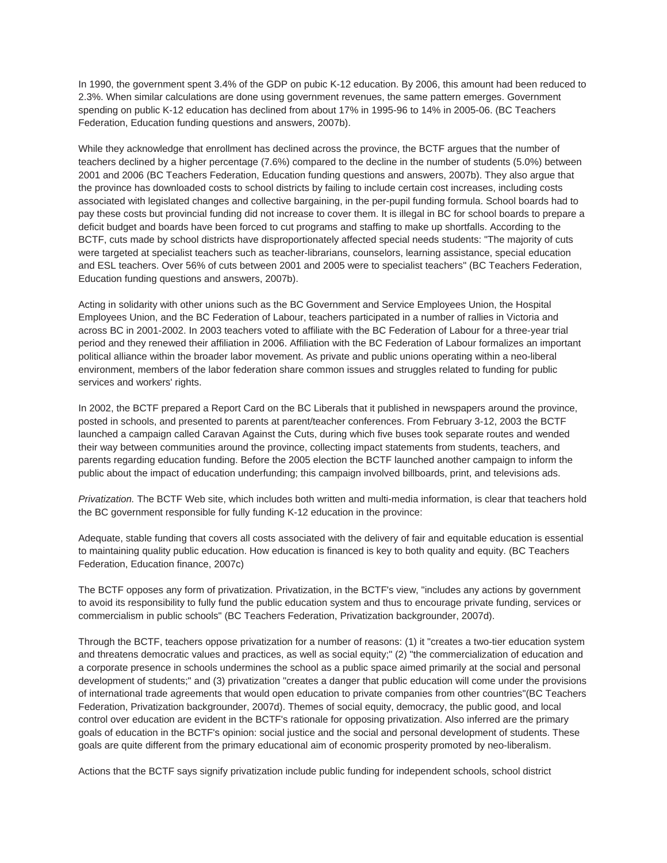In 1990, the government spent 3.4% of the GDP on pubic K-12 education. By 2006, this amount had been reduced to 2.3%. When similar calculations are done using government revenues, the same pattern emerges. Government spending on public K-12 education has declined from about 17% in 1995-96 to 14% in 2005-06. (BC Teachers Federation, Education funding questions and answers, 2007b).

While they acknowledge that enrollment has declined across the province, the BCTF argues that the number of teachers declined by a higher percentage (7.6%) compared to the decline in the number of students (5.0%) between 2001 and 2006 (BC Teachers Federation, Education funding questions and answers, 2007b). They also argue that the province has downloaded costs to school districts by failing to include certain cost increases, including costs associated with legislated changes and collective bargaining, in the per-pupil funding formula. School boards had to pay these costs but provincial funding did not increase to cover them. It is illegal in BC for school boards to prepare a deficit budget and boards have been forced to cut programs and staffing to make up shortfalls. According to the BCTF, cuts made by school districts have disproportionately affected special needs students: "The majority of cuts were targeted at specialist teachers such as teacher-librarians, counselors, learning assistance, special education and ESL teachers. Over 56% of cuts between 2001 and 2005 were to specialist teachers" (BC Teachers Federation, Education funding questions and answers, 2007b).

Acting in solidarity with other unions such as the BC Government and Service Employees Union, the Hospital Employees Union, and the BC Federation of Labour, teachers participated in a number of rallies in Victoria and across BC in 2001-2002. In 2003 teachers voted to affiliate with the BC Federation of Labour for a three-year trial period and they renewed their affiliation in 2006. Affiliation with the BC Federation of Labour formalizes an important political alliance within the broader labor movement. As private and public unions operating within a neo-liberal environment, members of the labor federation share common issues and struggles related to funding for public services and workers' rights.

In 2002, the BCTF prepared a Report Card on the BC Liberals that it published in newspapers around the province, posted in schools, and presented to parents at parent/teacher conferences. From February 3-12, 2003 the BCTF launched a campaign called Caravan Against the Cuts, during which five buses took separate routes and wended their way between communities around the province, collecting impact statements from students, teachers, and parents regarding education funding. Before the 2005 election the BCTF launched another campaign to inform the public about the impact of education underfunding; this campaign involved billboards, print, and televisions ads.

*Privatization.* The BCTF Web site, which includes both written and multi-media information, is clear that teachers hold the BC government responsible for fully funding K-12 education in the province:

Adequate, stable funding that covers all costs associated with the delivery of fair and equitable education is essential to maintaining quality public education. How education is financed is key to both quality and equity. (BC Teachers Federation, Education finance, 2007c)

The BCTF opposes any form of privatization. Privatization, in the BCTF's view, "includes any actions by government to avoid its responsibility to fully fund the public education system and thus to encourage private funding, services or commercialism in public schools" (BC Teachers Federation, Privatization backgrounder, 2007d).

Through the BCTF, teachers oppose privatization for a number of reasons: (1) it "creates a two-tier education system and threatens democratic values and practices, as well as social equity;" (2) "the commercialization of education and a corporate presence in schools undermines the school as a public space aimed primarily at the social and personal development of students;" and (3) privatization "creates a danger that public education will come under the provisions of international trade agreements that would open education to private companies from other countries"(BC Teachers Federation, Privatization backgrounder, 2007d). Themes of social equity, democracy, the public good, and local control over education are evident in the BCTF's rationale for opposing privatization. Also inferred are the primary goals of education in the BCTF's opinion: social justice and the social and personal development of students. These goals are quite different from the primary educational aim of economic prosperity promoted by neo-liberalism.

Actions that the BCTF says signify privatization include public funding for independent schools, school district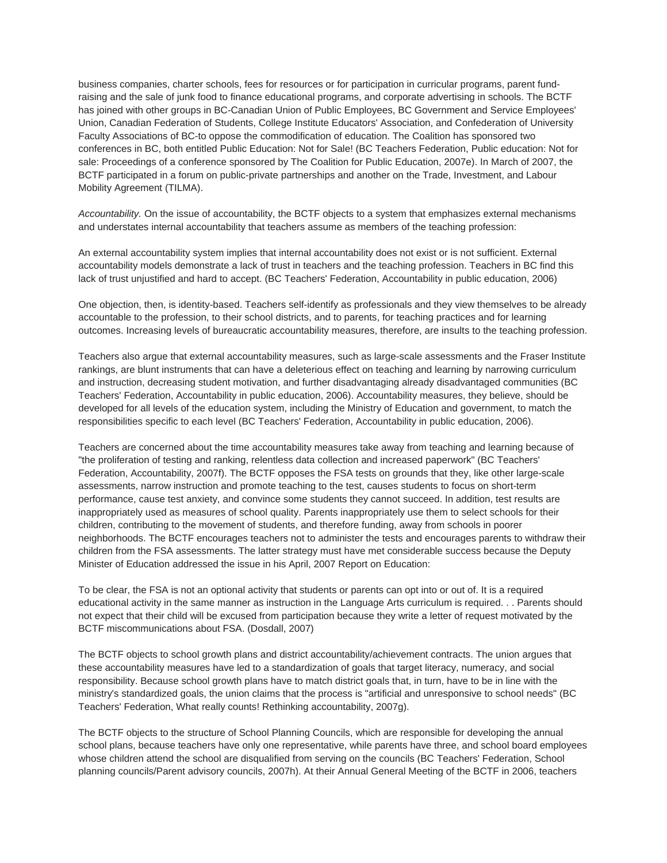business companies, charter schools, fees for resources or for participation in curricular programs, parent fundraising and the sale of junk food to finance educational programs, and corporate advertising in schools. The BCTF has joined with other groups in BC-Canadian Union of Public Employees, BC Government and Service Employees' Union, Canadian Federation of Students, College Institute Educators' Association, and Confederation of University Faculty Associations of BC-to oppose the commodification of education. The Coalition has sponsored two conferences in BC, both entitled Public Education: Not for Sale! (BC Teachers Federation, Public education: Not for sale: Proceedings of a conference sponsored by The Coalition for Public Education, 2007e). In March of 2007, the BCTF participated in a forum on public-private partnerships and another on the Trade, Investment, and Labour Mobility Agreement (TILMA).

*Accountability.* On the issue of accountability, the BCTF objects to a system that emphasizes external mechanisms and understates internal accountability that teachers assume as members of the teaching profession:

An external accountability system implies that internal accountability does not exist or is not sufficient. External accountability models demonstrate a lack of trust in teachers and the teaching profession. Teachers in BC find this lack of trust unjustified and hard to accept. (BC Teachers' Federation, Accountability in public education, 2006)

One objection, then, is identity-based. Teachers self-identify as professionals and they view themselves to be already accountable to the profession, to their school districts, and to parents, for teaching practices and for learning outcomes. Increasing levels of bureaucratic accountability measures, therefore, are insults to the teaching profession.

Teachers also argue that external accountability measures, such as large-scale assessments and the Fraser Institute rankings, are blunt instruments that can have a deleterious effect on teaching and learning by narrowing curriculum and instruction, decreasing student motivation, and further disadvantaging already disadvantaged communities (BC Teachers' Federation, Accountability in public education, 2006). Accountability measures, they believe, should be developed for all levels of the education system, including the Ministry of Education and government, to match the responsibilities specific to each level (BC Teachers' Federation, Accountability in public education, 2006).

Teachers are concerned about the time accountability measures take away from teaching and learning because of "the proliferation of testing and ranking, relentless data collection and increased paperwork" (BC Teachers' Federation, Accountability, 2007f). The BCTF opposes the FSA tests on grounds that they, like other large-scale assessments, narrow instruction and promote teaching to the test, causes students to focus on short-term performance, cause test anxiety, and convince some students they cannot succeed. In addition, test results are inappropriately used as measures of school quality. Parents inappropriately use them to select schools for their children, contributing to the movement of students, and therefore funding, away from schools in poorer neighborhoods. The BCTF encourages teachers not to administer the tests and encourages parents to withdraw their children from the FSA assessments. The latter strategy must have met considerable success because the Deputy Minister of Education addressed the issue in his April, 2007 Report on Education:

To be clear, the FSA is not an optional activity that students or parents can opt into or out of. It is a required educational activity in the same manner as instruction in the Language Arts curriculum is required. . . Parents should not expect that their child will be excused from participation because they write a letter of request motivated by the BCTF miscommunications about FSA. (Dosdall, 2007)

The BCTF objects to school growth plans and district accountability/achievement contracts. The union argues that these accountability measures have led to a standardization of goals that target literacy, numeracy, and social responsibility. Because school growth plans have to match district goals that, in turn, have to be in line with the ministry's standardized goals, the union claims that the process is "artificial and unresponsive to school needs" (BC Teachers' Federation, What really counts! Rethinking accountability, 2007g).

The BCTF objects to the structure of School Planning Councils, which are responsible for developing the annual school plans, because teachers have only one representative, while parents have three, and school board employees whose children attend the school are disqualified from serving on the councils (BC Teachers' Federation, School planning councils/Parent advisory councils, 2007h). At their Annual General Meeting of the BCTF in 2006, teachers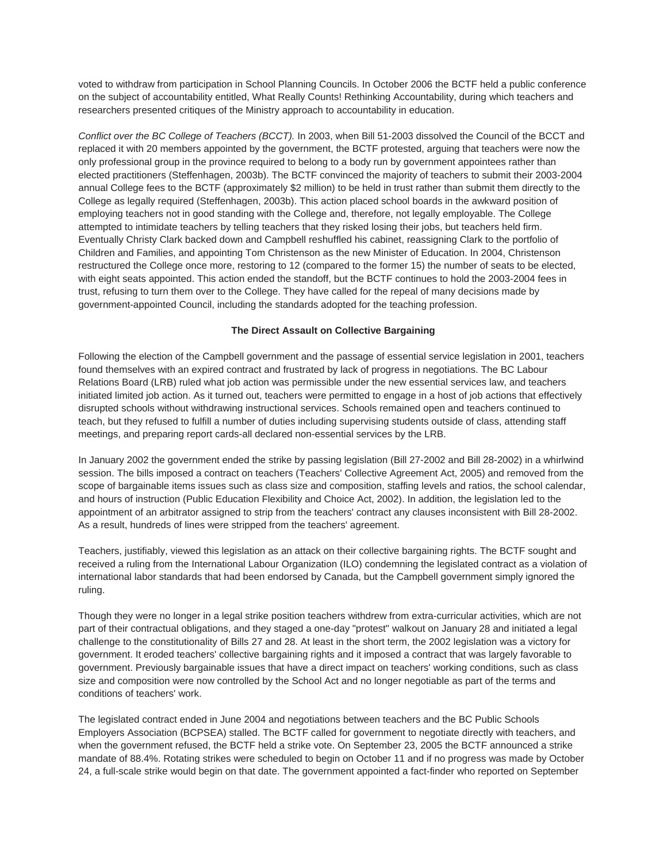voted to withdraw from participation in School Planning Councils. In October 2006 the BCTF held a public conference on the subject of accountability entitled, What Really Counts! Rethinking Accountability, during which teachers and researchers presented critiques of the Ministry approach to accountability in education.

*Conflict over the BC College of Teachers (BCCT).* In 2003, when Bill 51-2003 dissolved the Council of the BCCT and replaced it with 20 members appointed by the government, the BCTF protested, arguing that teachers were now the only professional group in the province required to belong to a body run by government appointees rather than elected practitioners (Steffenhagen, 2003b). The BCTF convinced the majority of teachers to submit their 2003-2004 annual College fees to the BCTF (approximately \$2 million) to be held in trust rather than submit them directly to the College as legally required (Steffenhagen, 2003b). This action placed school boards in the awkward position of employing teachers not in good standing with the College and, therefore, not legally employable. The College attempted to intimidate teachers by telling teachers that they risked losing their jobs, but teachers held firm. Eventually Christy Clark backed down and Campbell reshuffled his cabinet, reassigning Clark to the portfolio of Children and Families, and appointing Tom Christenson as the new Minister of Education. In 2004, Christenson restructured the College once more, restoring to 12 (compared to the former 15) the number of seats to be elected, with eight seats appointed. This action ended the standoff, but the BCTF continues to hold the 2003-2004 fees in trust, refusing to turn them over to the College. They have called for the repeal of many decisions made by government-appointed Council, including the standards adopted for the teaching profession.

## **The Direct Assault on Collective Bargaining**

Following the election of the Campbell government and the passage of essential service legislation in 2001, teachers found themselves with an expired contract and frustrated by lack of progress in negotiations. The BC Labour Relations Board (LRB) ruled what job action was permissible under the new essential services law, and teachers initiated limited job action. As it turned out, teachers were permitted to engage in a host of job actions that effectively disrupted schools without withdrawing instructional services. Schools remained open and teachers continued to teach, but they refused to fulfill a number of duties including supervising students outside of class, attending staff meetings, and preparing report cards-all declared non-essential services by the LRB.

In January 2002 the government ended the strike by passing legislation (Bill 27-2002 and Bill 28-2002) in a whirlwind session. The bills imposed a contract on teachers (Teachers' Collective Agreement Act, 2005) and removed from the scope of bargainable items issues such as class size and composition, staffing levels and ratios, the school calendar, and hours of instruction (Public Education Flexibility and Choice Act, 2002). In addition, the legislation led to the appointment of an arbitrator assigned to strip from the teachers' contract any clauses inconsistent with Bill 28-2002. As a result, hundreds of lines were stripped from the teachers' agreement.

Teachers, justifiably, viewed this legislation as an attack on their collective bargaining rights. The BCTF sought and received a ruling from the International Labour Organization (ILO) condemning the legislated contract as a violation of international labor standards that had been endorsed by Canada, but the Campbell government simply ignored the ruling.

Though they were no longer in a legal strike position teachers withdrew from extra-curricular activities, which are not part of their contractual obligations, and they staged a one-day "protest" walkout on January 28 and initiated a legal challenge to the constitutionality of Bills 27 and 28. At least in the short term, the 2002 legislation was a victory for government. It eroded teachers' collective bargaining rights and it imposed a contract that was largely favorable to government. Previously bargainable issues that have a direct impact on teachers' working conditions, such as class size and composition were now controlled by the School Act and no longer negotiable as part of the terms and conditions of teachers' work.

The legislated contract ended in June 2004 and negotiations between teachers and the BC Public Schools Employers Association (BCPSEA) stalled. The BCTF called for government to negotiate directly with teachers, and when the government refused, the BCTF held a strike vote. On September 23, 2005 the BCTF announced a strike mandate of 88.4%. Rotating strikes were scheduled to begin on October 11 and if no progress was made by October 24, a full-scale strike would begin on that date. The government appointed a fact-finder who reported on September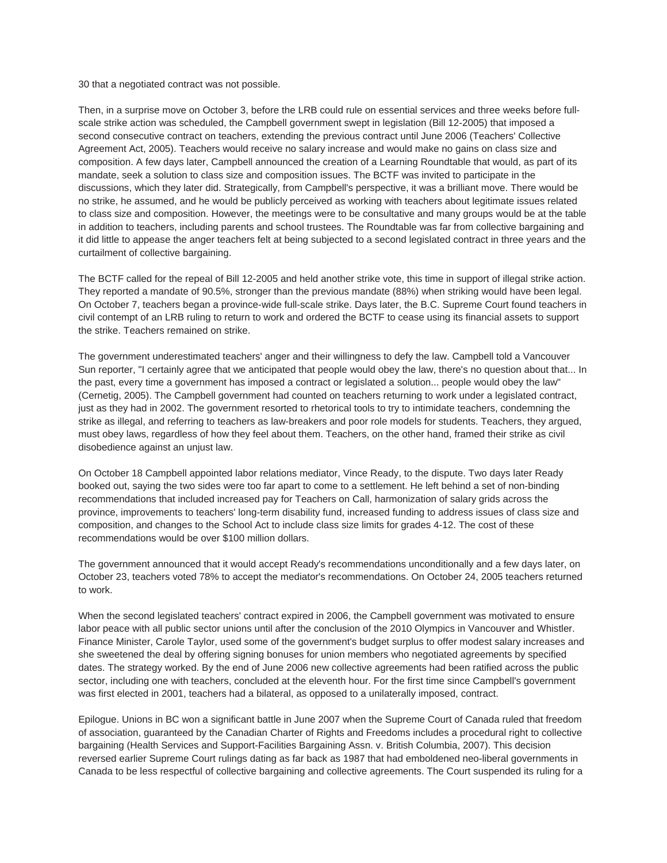30 that a negotiated contract was not possible.

Then, in a surprise move on October 3, before the LRB could rule on essential services and three weeks before fullscale strike action was scheduled, the Campbell government swept in legislation (Bill 12-2005) that imposed a second consecutive contract on teachers, extending the previous contract until June 2006 (Teachers' Collective Agreement Act, 2005). Teachers would receive no salary increase and would make no gains on class size and composition. A few days later, Campbell announced the creation of a Learning Roundtable that would, as part of its mandate, seek a solution to class size and composition issues. The BCTF was invited to participate in the discussions, which they later did. Strategically, from Campbell's perspective, it was a brilliant move. There would be no strike, he assumed, and he would be publicly perceived as working with teachers about legitimate issues related to class size and composition. However, the meetings were to be consultative and many groups would be at the table in addition to teachers, including parents and school trustees. The Roundtable was far from collective bargaining and it did little to appease the anger teachers felt at being subjected to a second legislated contract in three years and the curtailment of collective bargaining.

The BCTF called for the repeal of Bill 12-2005 and held another strike vote, this time in support of illegal strike action. They reported a mandate of 90.5%, stronger than the previous mandate (88%) when striking would have been legal. On October 7, teachers began a province-wide full-scale strike. Days later, the B.C. Supreme Court found teachers in civil contempt of an LRB ruling to return to work and ordered the BCTF to cease using its financial assets to support the strike. Teachers remained on strike.

The government underestimated teachers' anger and their willingness to defy the law. Campbell told a Vancouver Sun reporter, "I certainly agree that we anticipated that people would obey the law, there's no question about that... In the past, every time a government has imposed a contract or legislated a solution... people would obey the law" (Cernetig, 2005). The Campbell government had counted on teachers returning to work under a legislated contract, just as they had in 2002. The government resorted to rhetorical tools to try to intimidate teachers, condemning the strike as illegal, and referring to teachers as law-breakers and poor role models for students. Teachers, they argued, must obey laws, regardless of how they feel about them. Teachers, on the other hand, framed their strike as civil disobedience against an unjust law.

On October 18 Campbell appointed labor relations mediator, Vince Ready, to the dispute. Two days later Ready booked out, saying the two sides were too far apart to come to a settlement. He left behind a set of non-binding recommendations that included increased pay for Teachers on Call, harmonization of salary grids across the province, improvements to teachers' long-term disability fund, increased funding to address issues of class size and composition, and changes to the School Act to include class size limits for grades 4-12. The cost of these recommendations would be over \$100 million dollars.

The government announced that it would accept Ready's recommendations unconditionally and a few days later, on October 23, teachers voted 78% to accept the mediator's recommendations. On October 24, 2005 teachers returned to work.

When the second legislated teachers' contract expired in 2006, the Campbell government was motivated to ensure labor peace with all public sector unions until after the conclusion of the 2010 Olympics in Vancouver and Whistler. Finance Minister, Carole Taylor, used some of the government's budget surplus to offer modest salary increases and she sweetened the deal by offering signing bonuses for union members who negotiated agreements by specified dates. The strategy worked. By the end of June 2006 new collective agreements had been ratified across the public sector, including one with teachers, concluded at the eleventh hour. For the first time since Campbell's government was first elected in 2001, teachers had a bilateral, as opposed to a unilaterally imposed, contract.

Epilogue. Unions in BC won a significant battle in June 2007 when the Supreme Court of Canada ruled that freedom of association, guaranteed by the Canadian Charter of Rights and Freedoms includes a procedural right to collective bargaining (Health Services and Support-Facilities Bargaining Assn. v. British Columbia, 2007). This decision reversed earlier Supreme Court rulings dating as far back as 1987 that had emboldened neo-liberal governments in Canada to be less respectful of collective bargaining and collective agreements. The Court suspended its ruling for a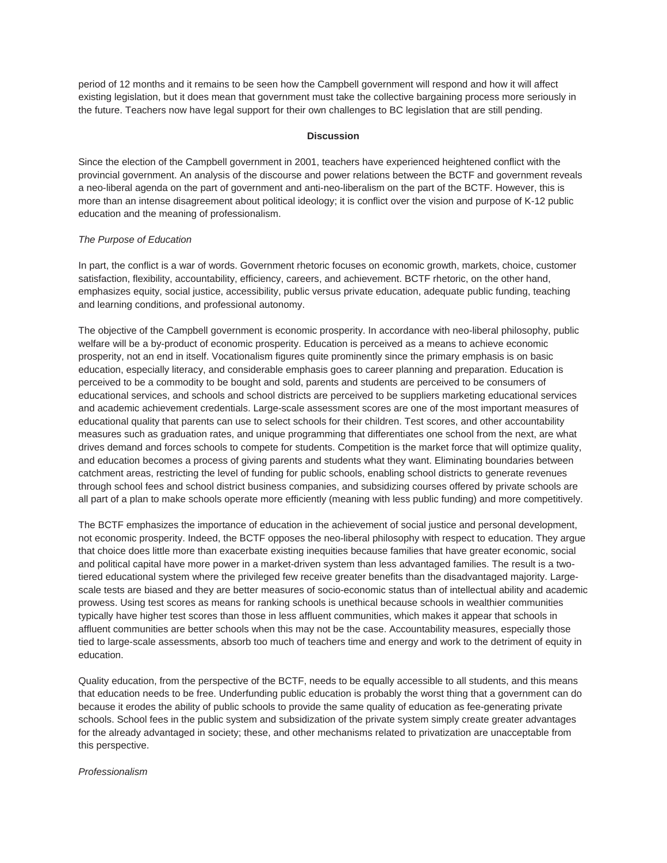period of 12 months and it remains to be seen how the Campbell government will respond and how it will affect existing legislation, but it does mean that government must take the collective bargaining process more seriously in the future. Teachers now have legal support for their own challenges to BC legislation that are still pending.

#### **Discussion**

Since the election of the Campbell government in 2001, teachers have experienced heightened conflict with the provincial government. An analysis of the discourse and power relations between the BCTF and government reveals a neo-liberal agenda on the part of government and anti-neo-liberalism on the part of the BCTF. However, this is more than an intense disagreement about political ideology; it is conflict over the vision and purpose of K-12 public education and the meaning of professionalism.

## *The Purpose of Education*

In part, the conflict is a war of words. Government rhetoric focuses on economic growth, markets, choice, customer satisfaction, flexibility, accountability, efficiency, careers, and achievement. BCTF rhetoric, on the other hand, emphasizes equity, social justice, accessibility, public versus private education, adequate public funding, teaching and learning conditions, and professional autonomy.

The objective of the Campbell government is economic prosperity. In accordance with neo-liberal philosophy, public welfare will be a by-product of economic prosperity. Education is perceived as a means to achieve economic prosperity, not an end in itself. Vocationalism figures quite prominently since the primary emphasis is on basic education, especially literacy, and considerable emphasis goes to career planning and preparation. Education is perceived to be a commodity to be bought and sold, parents and students are perceived to be consumers of educational services, and schools and school districts are perceived to be suppliers marketing educational services and academic achievement credentials. Large-scale assessment scores are one of the most important measures of educational quality that parents can use to select schools for their children. Test scores, and other accountability measures such as graduation rates, and unique programming that differentiates one school from the next, are what drives demand and forces schools to compete for students. Competition is the market force that will optimize quality, and education becomes a process of giving parents and students what they want. Eliminating boundaries between catchment areas, restricting the level of funding for public schools, enabling school districts to generate revenues through school fees and school district business companies, and subsidizing courses offered by private schools are all part of a plan to make schools operate more efficiently (meaning with less public funding) and more competitively.

The BCTF emphasizes the importance of education in the achievement of social justice and personal development, not economic prosperity. Indeed, the BCTF opposes the neo-liberal philosophy with respect to education. They argue that choice does little more than exacerbate existing inequities because families that have greater economic, social and political capital have more power in a market-driven system than less advantaged families. The result is a twotiered educational system where the privileged few receive greater benefits than the disadvantaged majority. Largescale tests are biased and they are better measures of socio-economic status than of intellectual ability and academic prowess. Using test scores as means for ranking schools is unethical because schools in wealthier communities typically have higher test scores than those in less affluent communities, which makes it appear that schools in affluent communities are better schools when this may not be the case. Accountability measures, especially those tied to large-scale assessments, absorb too much of teachers time and energy and work to the detriment of equity in education.

Quality education, from the perspective of the BCTF, needs to be equally accessible to all students, and this means that education needs to be free. Underfunding public education is probably the worst thing that a government can do because it erodes the ability of public schools to provide the same quality of education as fee-generating private schools. School fees in the public system and subsidization of the private system simply create greater advantages for the already advantaged in society; these, and other mechanisms related to privatization are unacceptable from this perspective.

#### *Professionalism*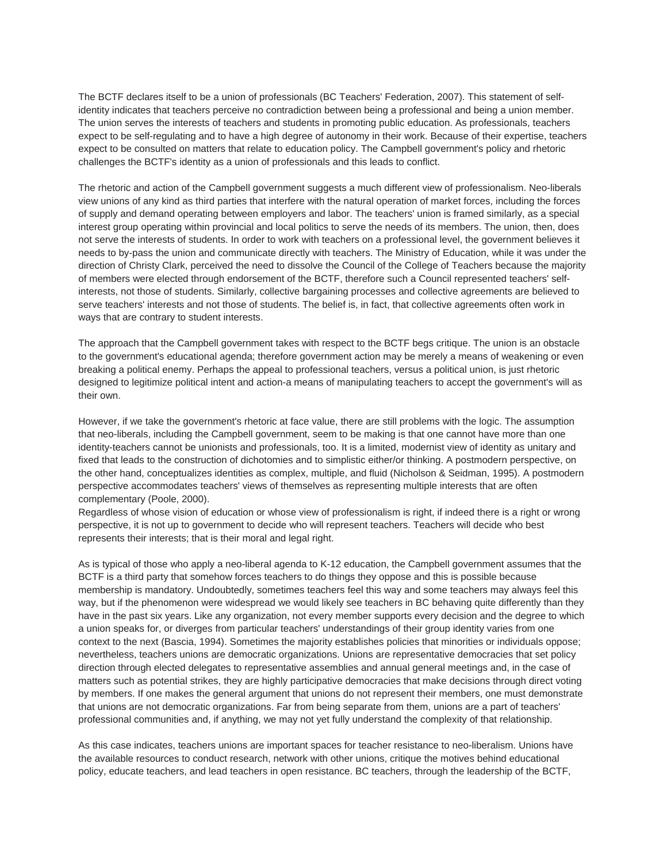The BCTF declares itself to be a union of professionals (BC Teachers' Federation, 2007). This statement of selfidentity indicates that teachers perceive no contradiction between being a professional and being a union member. The union serves the interests of teachers and students in promoting public education. As professionals, teachers expect to be self-regulating and to have a high degree of autonomy in their work. Because of their expertise, teachers expect to be consulted on matters that relate to education policy. The Campbell government's policy and rhetoric challenges the BCTF's identity as a union of professionals and this leads to conflict.

The rhetoric and action of the Campbell government suggests a much different view of professionalism. Neo-liberals view unions of any kind as third parties that interfere with the natural operation of market forces, including the forces of supply and demand operating between employers and labor. The teachers' union is framed similarly, as a special interest group operating within provincial and local politics to serve the needs of its members. The union, then, does not serve the interests of students. In order to work with teachers on a professional level, the government believes it needs to by-pass the union and communicate directly with teachers. The Ministry of Education, while it was under the direction of Christy Clark, perceived the need to dissolve the Council of the College of Teachers because the majority of members were elected through endorsement of the BCTF, therefore such a Council represented teachers' selfinterests, not those of students. Similarly, collective bargaining processes and collective agreements are believed to serve teachers' interests and not those of students. The belief is, in fact, that collective agreements often work in ways that are contrary to student interests.

The approach that the Campbell government takes with respect to the BCTF begs critique. The union is an obstacle to the government's educational agenda; therefore government action may be merely a means of weakening or even breaking a political enemy. Perhaps the appeal to professional teachers, versus a political union, is just rhetoric designed to legitimize political intent and action-a means of manipulating teachers to accept the government's will as their own.

However, if we take the government's rhetoric at face value, there are still problems with the logic. The assumption that neo-liberals, including the Campbell government, seem to be making is that one cannot have more than one identity-teachers cannot be unionists and professionals, too. It is a limited, modernist view of identity as unitary and fixed that leads to the construction of dichotomies and to simplistic either/or thinking. A postmodern perspective, on the other hand, conceptualizes identities as complex, multiple, and fluid (Nicholson & Seidman, 1995). A postmodern perspective accommodates teachers' views of themselves as representing multiple interests that are often complementary (Poole, 2000).

Regardless of whose vision of education or whose view of professionalism is right, if indeed there is a right or wrong perspective, it is not up to government to decide who will represent teachers. Teachers will decide who best represents their interests; that is their moral and legal right.

As is typical of those who apply a neo-liberal agenda to K-12 education, the Campbell government assumes that the BCTF is a third party that somehow forces teachers to do things they oppose and this is possible because membership is mandatory. Undoubtedly, sometimes teachers feel this way and some teachers may always feel this way, but if the phenomenon were widespread we would likely see teachers in BC behaving quite differently than they have in the past six years. Like any organization, not every member supports every decision and the degree to which a union speaks for, or diverges from particular teachers' understandings of their group identity varies from one context to the next (Bascia, 1994). Sometimes the majority establishes policies that minorities or individuals oppose; nevertheless, teachers unions are democratic organizations. Unions are representative democracies that set policy direction through elected delegates to representative assemblies and annual general meetings and, in the case of matters such as potential strikes, they are highly participative democracies that make decisions through direct voting by members. If one makes the general argument that unions do not represent their members, one must demonstrate that unions are not democratic organizations. Far from being separate from them, unions are a part of teachers' professional communities and, if anything, we may not yet fully understand the complexity of that relationship.

As this case indicates, teachers unions are important spaces for teacher resistance to neo-liberalism. Unions have the available resources to conduct research, network with other unions, critique the motives behind educational policy, educate teachers, and lead teachers in open resistance. BC teachers, through the leadership of the BCTF,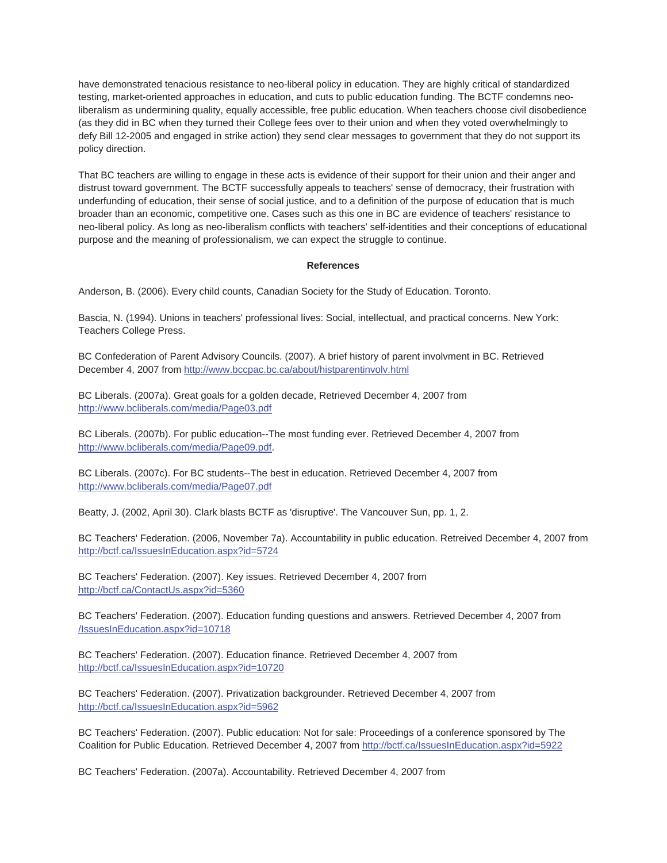have demonstrated tenacious resistance to neo-liberal policy in education. They are highly critical of standardized testing, market-oriented approaches in education, and cuts to public education funding. The BCTF condemns neoliberalism as undermining quality, equally accessible, free public education. When teachers choose civil disobedience (as they did in BC when they turned their College fees over to their union and when they voted overwhelmingly to defy Bill 12-2005 and engaged in strike action) they send clear messages to government that they do not support its policy direction.

That BC teachers are willing to engage in these acts is evidence of their support for their union and their anger and distrust toward government. The BCTF successfully appeals to teachers' sense of democracy, their frustration with underfunding of education, their sense of social justice, and to a definition of the purpose of education that is much broader than an economic, competitive one. Cases such as this one in BC are evidence of teachers' resistance to neo-liberal policy. As long as neo-liberalism conflicts with teachers' self-identities and their conceptions of educational purpose and the meaning of professionalism, we can expect the struggle to continue.

## **References**

Anderson, B. (2006). Every child counts, Canadian Society for the Study of Education. Toronto.

Bascia, N. (1994). Unions in teachers' professional lives: Social, intellectual, and practical concerns. New York: Teachers College Press.

BC Confederation of Parent Advisory Councils. (2007). A brief history of parent involvment in BC. Retrieved December 4, 2007 from http://www.bccpac.bc.ca/about/histparentinvolv.html

BC Liberals. (2007a). Great goals for a golden decade, Retrieved December 4, 2007 from http://www.bcliberals.com/media/Page03.pdf

BC Liberals. (2007b). For public education--The most funding ever. Retrieved December 4, 2007 from http://www.bcliberals.com/media/Page09.pdf.

BC Liberals. (2007c). For BC students--The best in education. Retrieved December 4, 2007 from http://www.bcliberals.com/media/Page07.pdf

Beatty, J. (2002, April 30). Clark blasts BCTF as 'disruptive'. The Vancouver Sun, pp. 1, 2.

BC Teachers' Federation. (2006, November 7a). Accountability in public education. Retreived December 4, 2007 from http://bctf.ca/IssuesInEducation.aspx?id=5724

BC Teachers' Federation. (2007). Key issues. Retrieved December 4, 2007 from http://bctf.ca/ContactUs.aspx?id=5360

BC Teachers' Federation. (2007). Education funding questions and answers. Retrieved December 4, 2007 from /IssuesInEducation.aspx?id=10718

BC Teachers' Federation. (2007). Education finance. Retrieved December 4, 2007 from http://bctf.ca/IssuesInEducation.aspx?id=10720

BC Teachers' Federation. (2007). Privatization backgrounder. Retrieved December 4, 2007 from http://bctf.ca/IssuesInEducation.aspx?id=5962

BC Teachers' Federation. (2007). Public education: Not for sale: Proceedings of a conference sponsored by The Coalition for Public Education. Retrieved December 4, 2007 from http://bctf.ca/IssuesInEducation.aspx?id=5922

BC Teachers' Federation. (2007a). Accountability. Retrieved December 4, 2007 from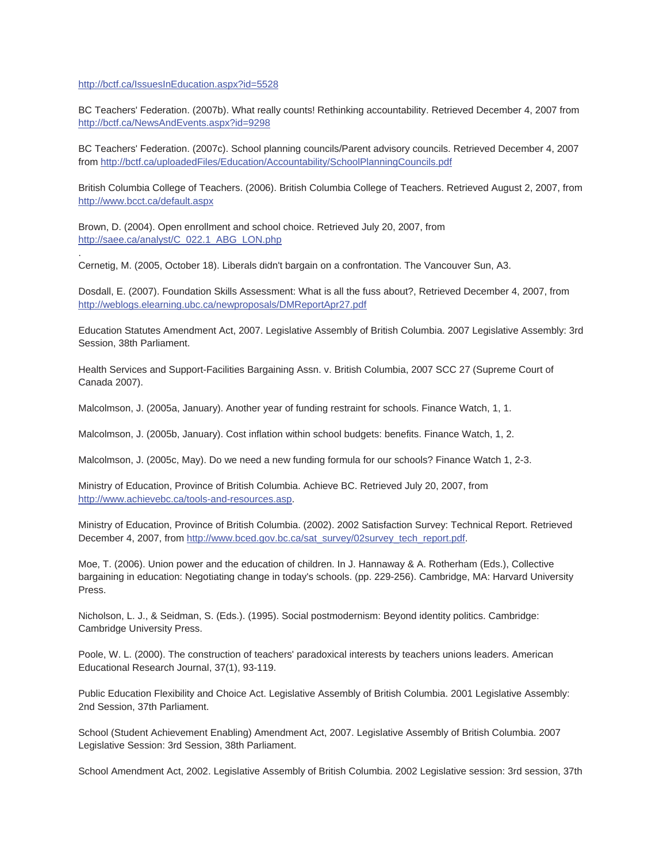## http://bctf.ca/IssuesInEducation.aspx?id=5528

.

BC Teachers' Federation. (2007b). What really counts! Rethinking accountability. Retrieved December 4, 2007 from http://bctf.ca/NewsAndEvents.aspx?id=9298

BC Teachers' Federation. (2007c). School planning councils/Parent advisory councils. Retrieved December 4, 2007 from http://bctf.ca/uploadedFiles/Education/Accountability/SchoolPlanningCouncils.pdf

British Columbia College of Teachers. (2006). British Columbia College of Teachers. Retrieved August 2, 2007, from http://www.bcct.ca/default.aspx

Brown, D. (2004). Open enrollment and school choice. Retrieved July 20, 2007, from http://saee.ca/analyst/C\_022.1\_ABG\_LON.php

Cernetig, M. (2005, October 18). Liberals didn't bargain on a confrontation. The Vancouver Sun, A3.

Dosdall, E. (2007). Foundation Skills Assessment: What is all the fuss about?, Retrieved December 4, 2007, from http://weblogs.elearning.ubc.ca/newproposals/DMReportApr27.pdf

Education Statutes Amendment Act, 2007. Legislative Assembly of British Columbia. 2007 Legislative Assembly: 3rd Session, 38th Parliament.

Health Services and Support-Facilities Bargaining Assn. v. British Columbia, 2007 SCC 27 (Supreme Court of Canada 2007).

Malcolmson, J. (2005a, January). Another year of funding restraint for schools. Finance Watch, 1, 1.

Malcolmson, J. (2005b, January). Cost inflation within school budgets: benefits. Finance Watch, 1, 2.

Malcolmson, J. (2005c, May). Do we need a new funding formula for our schools? Finance Watch 1, 2-3.

Ministry of Education, Province of British Columbia. Achieve BC. Retrieved July 20, 2007, from http://www.achievebc.ca/tools-and-resources.asp.

Ministry of Education, Province of British Columbia. (2002). 2002 Satisfaction Survey: Technical Report. Retrieved December 4, 2007, from http://www.bced.gov.bc.ca/sat\_survey/02survey\_tech\_report.pdf.

Moe, T. (2006). Union power and the education of children. In J. Hannaway & A. Rotherham (Eds.), Collective bargaining in education: Negotiating change in today's schools. (pp. 229-256). Cambridge, MA: Harvard University Press.

Nicholson, L. J., & Seidman, S. (Eds.). (1995). Social postmodernism: Beyond identity politics. Cambridge: Cambridge University Press.

Poole, W. L. (2000). The construction of teachers' paradoxical interests by teachers unions leaders. American Educational Research Journal, 37(1), 93-119.

Public Education Flexibility and Choice Act. Legislative Assembly of British Columbia. 2001 Legislative Assembly: 2nd Session, 37th Parliament.

School (Student Achievement Enabling) Amendment Act, 2007. Legislative Assembly of British Columbia. 2007 Legislative Session: 3rd Session, 38th Parliament.

School Amendment Act, 2002. Legislative Assembly of British Columbia. 2002 Legislative session: 3rd session, 37th